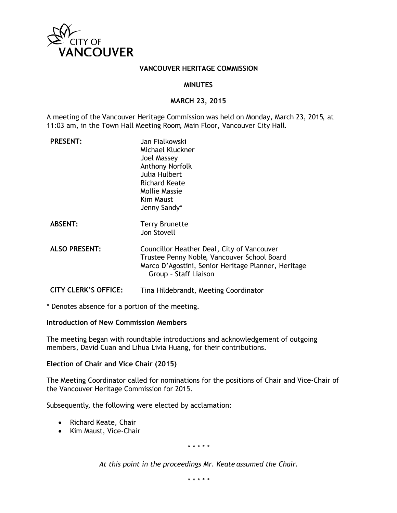

#### **VANCOUVER HERITAGE COMMISSION**

### **MINUTES**

### **MARCH 23, 2015**

A meeting of the Vancouver Heritage Commission was held on Monday, March 23, 2015, at 11:03 am, in the Town Hall Meeting Room, Main Floor, Vancouver City Hall.

| <b>PRESENT:</b>             | Jan Fialkowski<br>Michael Kluckner<br>Joel Massey<br><b>Anthony Norfolk</b><br>Julia Hulbert<br>Richard Keate<br><b>Mollie Massie</b><br>Kim Maust<br>Jenny Sandy*        |
|-----------------------------|---------------------------------------------------------------------------------------------------------------------------------------------------------------------------|
| <b>ABSENT:</b>              | <b>Terry Brunette</b><br>Jon Stovell                                                                                                                                      |
| <b>ALSO PRESENT:</b>        | Councillor Heather Deal, City of Vancouver<br>Trustee Penny Noble, Vancouver School Board<br>Marco D'Agostini, Senior Heritage Planner, Heritage<br>Group - Staff Liaison |
| <b>CITY CLERK'S OFFICE:</b> | Tina Hildebrandt, Meeting Coordinator                                                                                                                                     |

\* Denotes absence for a portion of the meeting.

#### **Introduction of New Commission Members**

The meeting began with roundtable introductions and acknowledgement of outgoing members, David Cuan and Lihua Livia Huang, for their contributions.

## **Election of Chair and Vice Chair (2015)**

The Meeting Coordinator called for nominations for the positions of Chair and Vice-Chair of the Vancouver Heritage Commission for 2015.

Subsequently, the following were elected by acclamation:

- Richard Keate, Chair
- Kim Maust, Vice-Chair

*\* \* \* \* \**

*At this point in the proceedings Mr. Keate assumed the Chair.*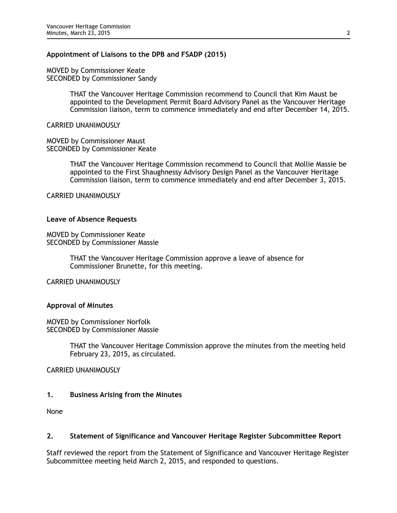#### **Appointment of Liaisons to the DPB and FSADP (2015)**

MOVED by Commissioner Keate SECONDED by Commissioner Sandy

> THAT the Vancouver Heritage Commission recommend to Council that Kim Maust be appointed to the Development Permit Board Advisory Panel as the Vancouver Heritage Commission liaison, term to commence immediately and end after December 14, 2015.

CARRIED UNANIMOUSLY

MOVED by Commissioner Maust SECONDED by Commissioner Keate

> THAT the Vancouver Heritage Commission recommend to Council that Mollie Massie be appointed to the First Shaughnessy Advisory Design Panel as the Vancouver Heritage Commission liaison, term to commence immediately and end after December 3, 2015.

CARRIED UNANIMOUSLY

## **Leave of Absence Requests**

MOVED by Commissioner Keate SECONDED by Commissioner Massie

> THAT the Vancouver Heritage Commission approve a leave of absence for Commissioner Brunette, for this meeting.

CARRIED UNANIMOUSLY

# **Approval of Minutes**

MOVED by Commissioner Norfolk SECONDED by Commissioner Massie

> THAT the Vancouver Heritage Commission approve the minutes from the meeting held February 23, 2015, as circulated.

CARRIED UNANIMOUSLY

# **1. Business Arising from the Minutes**

None

# **2. Statement of Significance and Vancouver Heritage Register Subcommittee Report**

Staff reviewed the report from the Statement of Significance and Vancouver Heritage Register Subcommittee meeting held March 2, 2015, and responded to questions.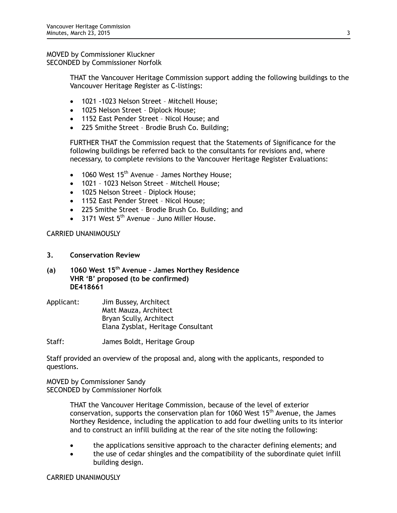MOVED by Commissioner Kluckner SECONDED by Commissioner Norfolk

> THAT the Vancouver Heritage Commission support adding the following buildings to the Vancouver Heritage Register as C-listings:

- 1021 -1023 Nelson Street Mitchell House;
- 1025 Nelson Street Diplock House;
- 1152 East Pender Street Nicol House; and
- 225 Smithe Street Brodie Brush Co. Building;

FURTHER THAT the Commission request that the Statements of Significance for the following buildings be referred back to the consultants for revisions and, where necessary, to complete revisions to the Vancouver Heritage Register Evaluations:

- 1060 West  $15<sup>th</sup>$  Avenue James Northey House;
- 1021 1023 Nelson Street Mitchell House;
- 1025 Nelson Street Diplock House;
- 1152 East Pender Street Nicol House;
- 225 Smithe Street Brodie Brush Co. Building; and
- $3171$  West  $5<sup>th</sup>$  Avenue Juno Miller House.

CARRIED UNANIMOUSLY

- **3. Conservation Review**
- **(a) 1060 West 15th Avenue James Northey Residence VHR 'B' proposed (to be confirmed) DE418661**
- Applicant: Jim Bussey, Architect Matt Mauza, Architect Bryan Scully, Architect Elana Zysblat, Heritage Consultant
- Staff: James Boldt, Heritage Group

Staff provided an overview of the proposal and, along with the applicants, responded to questions.

MOVED by Commissioner Sandy SECONDED by Commissioner Norfolk

> THAT the Vancouver Heritage Commission, because of the level of exterior conservation, supports the conservation plan for 1060 West  $15<sup>th</sup>$  Avenue, the James Northey Residence, including the application to add four dwelling units to its interior and to construct an infill building at the rear of the site noting the following:

- the applications sensitive approach to the character defining elements; and
- the use of cedar shingles and the compatibility of the subordinate quiet infill building design.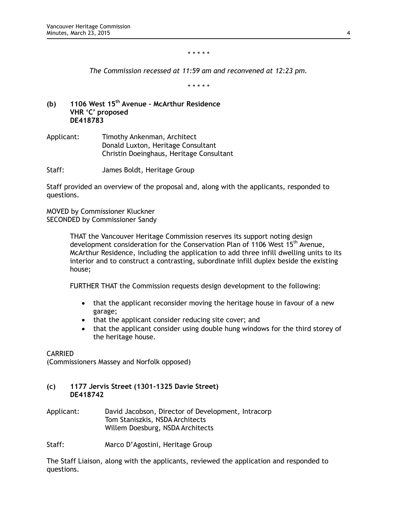#### *\* \* \* \* \**

*The Commission recessed at 11:59 am and reconvened at 12:23 pm.*

*\* \* \* \* \**

- **(b) 1106 West 15th Avenue McArthur Residence VHR 'C' proposed DE418783**
- Applicant: Timothy Ankenman, Architect Donald Luxton, Heritage Consultant Christin Doeinghaus, Heritage Consultant

Staff: James Boldt, Heritage Group

Staff provided an overview of the proposal and, along with the applicants, responded to questions.

MOVED by Commissioner Kluckner SECONDED by Commissioner Sandy

> THAT the Vancouver Heritage Commission reserves its support noting design development consideration for the Conservation Plan of 1106 West 15<sup>th</sup> Avenue, McArthur Residence, including the application to add three infill dwelling units to its interior and to construct a contrasting, subordinate infill duplex beside the existing house;

FURTHER THAT the Commission requests design development to the following:

- that the applicant reconsider moving the heritage house in favour of a new garage;
- that the applicant consider reducing site cover; and
- that the applicant consider using double hung windows for the third storey of the heritage house.

# CARRIED

(Commissioners Massey and Norfolk opposed)

# **(c) 1177 Jervis Street (1301-1325 Davie Street) DE418742**

Applicant: David Jacobson, Director of Development, Intracorp Tom Staniszkis, NSDA Architects Willem Doesburg, NSDA Architects

Staff: Marco D'Agostini, Heritage Group

The Staff Liaison, along with the applicants, reviewed the application and responded to questions.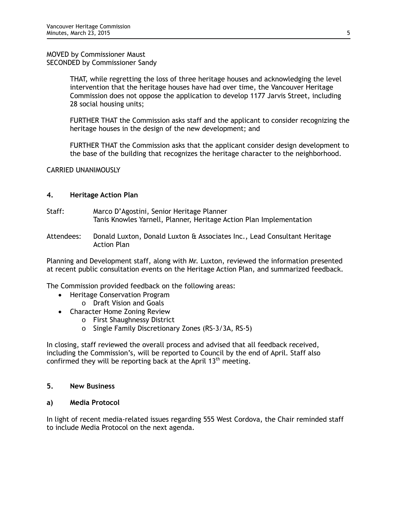MOVED by Commissioner Maust SECONDED by Commissioner Sandy

> THAT, while regretting the loss of three heritage houses and acknowledging the level intervention that the heritage houses have had over time, the Vancouver Heritage Commission does not oppose the application to develop 1177 Jarvis Street, including 28 social housing units;

FURTHER THAT the Commission asks staff and the applicant to consider recognizing the heritage houses in the design of the new development; and

FURTHER THAT the Commission asks that the applicant consider design development to the base of the building that recognizes the heritage character to the neighborhood.

CARRIED UNANIMOUSLY

## **4. Heritage Action Plan**

- Staff: Marco D'Agostini, Senior Heritage Planner Tanis Knowles Yarnell, Planner, Heritage Action Plan Implementation
- Attendees: Donald Luxton, Donald Luxton & Associates Inc., Lead Consultant Heritage Action Plan

Planning and Development staff, along with Mr. Luxton, reviewed the information presented at recent public consultation events on the Heritage Action Plan, and summarized feedback.

The Commission provided feedback on the following areas:

- Heritage Conservation Program
	- o Draft Vision and Goals
- Character Home Zoning Review
	- o First Shaughnessy District
	- o Single Family Discretionary Zones (RS-3/3A, RS-5)

In closing, staff reviewed the overall process and advised that all feedback received, including the Commission's, will be reported to Council by the end of April. Staff also confirmed they will be reporting back at the April  $13<sup>th</sup>$  meeting.

# **5. New Business**

#### **a) Media Protocol**

In light of recent media-related issues regarding 555 West Cordova, the Chair reminded staff to include Media Protocol on the next agenda.